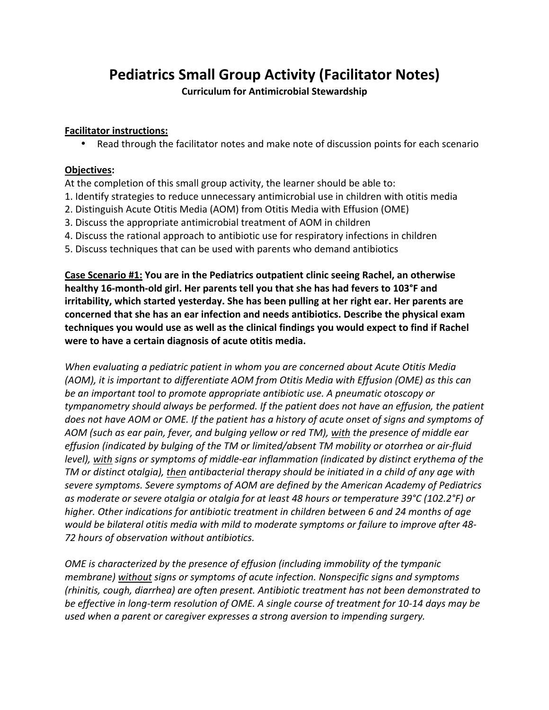## **Pediatrics Small Group Activity (Facilitator Notes)**

**Curriculum for Antimicrobial Stewardship** 

## **Facilitator instructions:**

• Read through the facilitator notes and make note of discussion points for each scenario

## **Objectives:**

At the completion of this small group activity, the learner should be able to:

- 1. Identify strategies to reduce unnecessary antimicrobial use in children with otitis media
- 2. Distinguish Acute Otitis Media (AOM) from Otitis Media with Effusion (OME)
- 3. Discuss the appropriate antimicrobial treatment of AOM in children
- 4. Discuss the rational approach to antibiotic use for respiratory infections in children
- 5. Discuss techniques that can be used with parents who demand antibiotics

**Case Scenario #1: You are in the Pediatrics outpatient clinic seeing Rachel, an otherwise** healthy 16-month-old girl. Her parents tell you that she has had fevers to 103°F and irritability, which started yesterday. She has been pulling at her right ear. Her parents are concerned that she has an ear infection and needs antibiotics. Describe the physical exam techniques you would use as well as the clinical findings you would expect to find if Rachel were to have a certain diagnosis of acute otitis media.

*When* evaluating a pediatric patient in whom you are concerned about Acute Otitis Media *(AOM), it is important to differentiate AOM from Otitis Media with Effusion (OME) as this can be an important tool to promote appropriate antibiotic use. A pneumatic otoscopy or tympanometry should always be performed.* If the patient does not have an effusion, the patient does not have AOM or OME. If the patient has a history of acute onset of signs and symptoms of *AOM* (such as ear pain, fever, and bulging yellow or red TM), with the presence of middle ear effusion (indicated by bulging of the TM or limited/absent TM mobility or otorrhea or air-fluid *level), with signs or symptoms of middle-ear inflammation (indicated by distinct erythema of the TM* or distinct otalgia), then antibacterial therapy should be initiated in a child of any age with severe symptoms. Severe symptoms of AOM are defined by the American Academy of Pediatrics as moderate or severe otalgia or otalgia for at least 48 hours or temperature 39°C (102.2°F) or *higher.* Other indications for antibiotic treatment in children between 6 and 24 months of age *would be bilateral otitis media with mild to moderate symptoms or failure to improve after 48-72 hours of observation without antibiotics.*

*OME* is characterized by the presence of effusion (including immobility of the tympanic *membrane)* without signs or symptoms of acute infection. Nonspecific signs and symptoms *(rhinitis, cough, diarrhea) are often present. Antibiotic treatment has not been demonstrated to be effective in long-term resolution of OME.* A single course of treatment for 10-14 days may be used when a parent or caregiver expresses a strong aversion to impending surgery.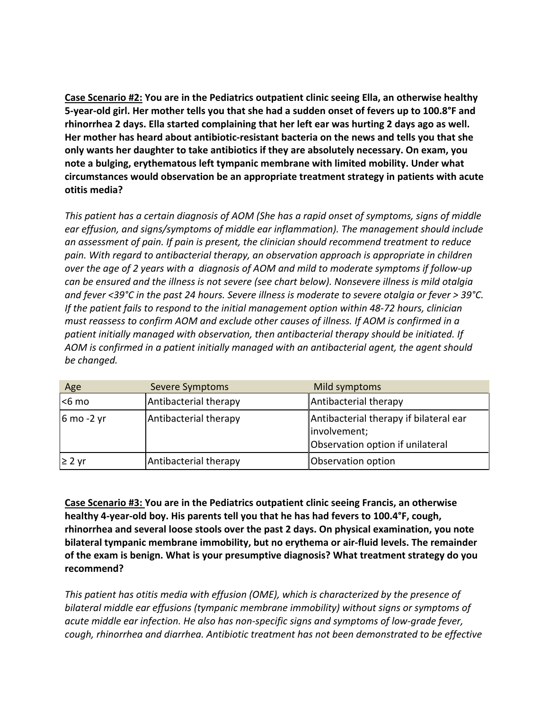**Case Scenario #2:** You are in the Pediatrics outpatient clinic seeing Ella, an otherwise healthy 5-year-old girl. Her mother tells you that she had a sudden onset of fevers up to 100.8°F and rhinorrhea 2 days. Ella started complaining that her left ear was hurting 2 days ago as well. Her mother has heard about antibiotic-resistant bacteria on the news and tells you that she only wants her daughter to take antibiotics if they are absolutely necessary. On exam, you note a bulging, erythematous left tympanic membrane with limited mobility. Under what circumstances would observation be an appropriate treatment strategy in patients with acute **otitis media?**

This patient has a certain diagnosis of AOM (She has a rapid onset of symptoms, signs of middle ear effusion, and signs/symptoms of middle ear inflammation). The management should include an assessment of pain. If pain is present, the clinician should recommend treatment to reduce pain. With regard to antibacterial therapy, an observation approach is appropriate in children *over* the age of 2 years with a diagnosis of AOM and mild to moderate symptoms if follow-up can be ensured and the illness is not severe (see chart below). Nonsevere illness is mild otalgia and fever <39°C in the past 24 hours. Severe illness is moderate to severe otalgia or fever > 39°C. *If* the patient fails to respond to the initial management option within 48-72 hours, clinician must reassess to confirm AOM and exclude other causes of illness. If AOM is confirmed in a patient initially managed with observation, then antibacterial therapy should be initiated. If AOM is confirmed in a patient initially managed with an antibacterial agent, the agent should be changed.

| Age        | Severe Symptoms       | Mild symptoms                                                                              |
|------------|-----------------------|--------------------------------------------------------------------------------------------|
| $6$ mo     | Antibacterial therapy | Antibacterial therapy                                                                      |
| 6 mo -2 yr | Antibacterial therapy | Antibacterial therapy if bilateral ear<br>involvement;<br>Observation option if unilateral |
| $≥ 2$ yr   | Antibacterial therapy | Observation option                                                                         |

**Case Scenario #3: You are in the Pediatrics outpatient clinic seeing Francis, an otherwise** healthy 4-year-old boy. His parents tell you that he has had fevers to 100.4°F, cough, rhinorrhea and several loose stools over the past 2 days. On physical examination, you note bilateral tympanic membrane immobility, but no erythema or air-fluid levels. The remainder of the exam is benign. What is your presumptive diagnosis? What treatment strategy do you **recommend?** 

This patient has otitis media with effusion (OME), which is characterized by the presence of *bilateral middle ear effusions (tympanic membrane immobility)* without signs or symptoms of acute middle ear infection. He also has non-specific signs and symptoms of low-grade fever, *cough, rhinorrhea and diarrhea. Antibiotic treatment has not been demonstrated to be effective*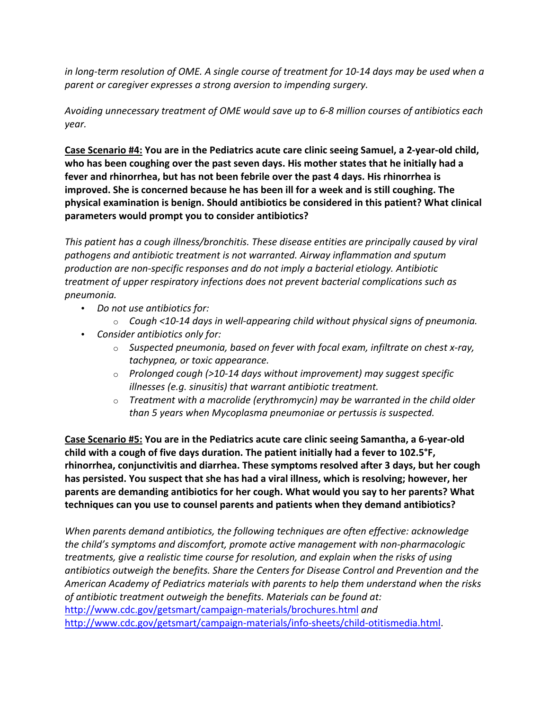*in* long-term resolution of OME. A single course of treatment for 10-14 days may be used when a parent or caregiver expresses a strong aversion to impending surgery.

Avoiding unnecessary treatment of OME would save up to 6-8 million courses of antibiotics each *year.*

Case Scenario #4: You are in the Pediatrics acute care clinic seeing Samuel, a 2-year-old child, who has been coughing over the past seven days. His mother states that he initially had a fever and rhinorrhea, but has not been febrile over the past 4 days. His rhinorrhea is **improved.** She is concerned because he has been ill for a week and is still coughing. The physical examination is benign. Should antibiotics be considered in this patient? What clinical parameters would prompt you to consider antibiotics?

*This* patient has a cough illness/bronchitis. These disease entities are principally caused by viral pathogens and antibiotic treatment is not warranted. Airway inflammation and sputum *production* are non-specific responses and do not imply a bacterial etiology. Antibiotic *treatment of upper respiratory infections does not prevent bacterial complications such as pneumonia.*

- Do not use antibiotics for:
	- $\circ$  *Cough <10-14 days in well-appearing child without physical signs of pneumonia.*
- *Consider antibiotics only for:* 
	- Suspected pneumonia, based on fever with focal exam, infiltrate on chest x-ray, *tachypnea, or toxic appearance.*
	- Prolonged cough (>10-14 days without improvement) may suggest specific *illnesses (e.g. sinusitis)* that warrant antibiotic treatment.
	- $\circ$  **Treatment with a macrolide (erythromycin) may be warranted in the child older** than 5 years when Mycoplasma pneumoniae or pertussis is suspected.

Case Scenario #5: You are in the Pediatrics acute care clinic seeing Samantha, a 6-year-old child with a cough of five days duration. The patient initially had a fever to 102.5<sup>°</sup>F, rhinorrhea, conjunctivitis and diarrhea. These symptoms resolved after 3 days, but her cough has persisted. You suspect that she has had a viral illness, which is resolving; however, her **parents are demanding antibiotics for her cough. What would you say to her parents? What** techniques can you use to counsel parents and patients when they demand antibiotics?

When parents demand antibiotics, the following techniques are often effective: acknowledge *the child's symptoms and discomfort, promote active management with non-pharmacologic* treatments, give a realistic time course for resolution, and explain when the risks of using *antibiotics outweigh the benefits. Share the Centers for Disease Control and Prevention and the* American Academy of Pediatrics materials with parents to help them understand when the risks of antibiotic treatment outweigh the benefits. Materials can be found at: http://www.cdc.gov/getsmart/campaign-materials/brochures.html and http://www.cdc.gov/getsmart/campaign-materials/info-sheets/child-otitismedia.html.